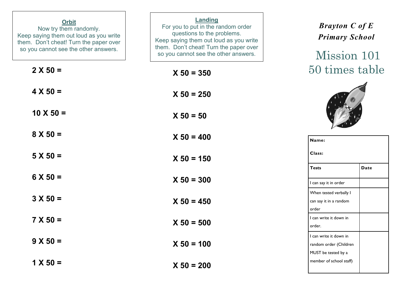| <b>Orbit</b><br>Now try them randomly.<br>Keep saying them out loud as you write<br>them. Don't cheat! Turn the paper over<br>so you cannot see the other answers. | Landing<br>For you to put in the random order<br>questions to the problems.<br>Keep saying them out loud as you write<br>them. Don't cheat! Turn the paper over<br>so you cannot see the other answers. | <b>Brayton C of E</b><br><b>Primary School</b><br>Mission 101           |
|--------------------------------------------------------------------------------------------------------------------------------------------------------------------|---------------------------------------------------------------------------------------------------------------------------------------------------------------------------------------------------------|-------------------------------------------------------------------------|
| $2 X 50 =$                                                                                                                                                         | $X 50 = 350$                                                                                                                                                                                            | 50 times table                                                          |
| $4 X 50 =$                                                                                                                                                         | $X 50 = 250$                                                                                                                                                                                            |                                                                         |
| $10 \times 50 =$                                                                                                                                                   | $X 50 = 50$                                                                                                                                                                                             |                                                                         |
| $8 X 50 =$                                                                                                                                                         | $X 50 = 400$                                                                                                                                                                                            | Name:                                                                   |
| $5 X 50 =$                                                                                                                                                         | $X 50 = 150$                                                                                                                                                                                            | Class:                                                                  |
| $6 X 50 =$                                                                                                                                                         | $X 50 = 300$                                                                                                                                                                                            | <b>Tests</b><br>Date<br>I can say it in order                           |
| $3 X 50 =$                                                                                                                                                         | $X 50 = 450$                                                                                                                                                                                            | When tested verbally I<br>can say it in a random<br>order               |
| $7 X 50 =$                                                                                                                                                         | $X 50 = 500$                                                                                                                                                                                            | I can write it down in<br>order.                                        |
| $9 X 50 =$                                                                                                                                                         | $X 50 = 100$                                                                                                                                                                                            | I can write it down in<br>random order (Children<br>MUST be tested by a |
| $1 X 50 =$                                                                                                                                                         | $X 50 = 200$                                                                                                                                                                                            | member of school staff)                                                 |